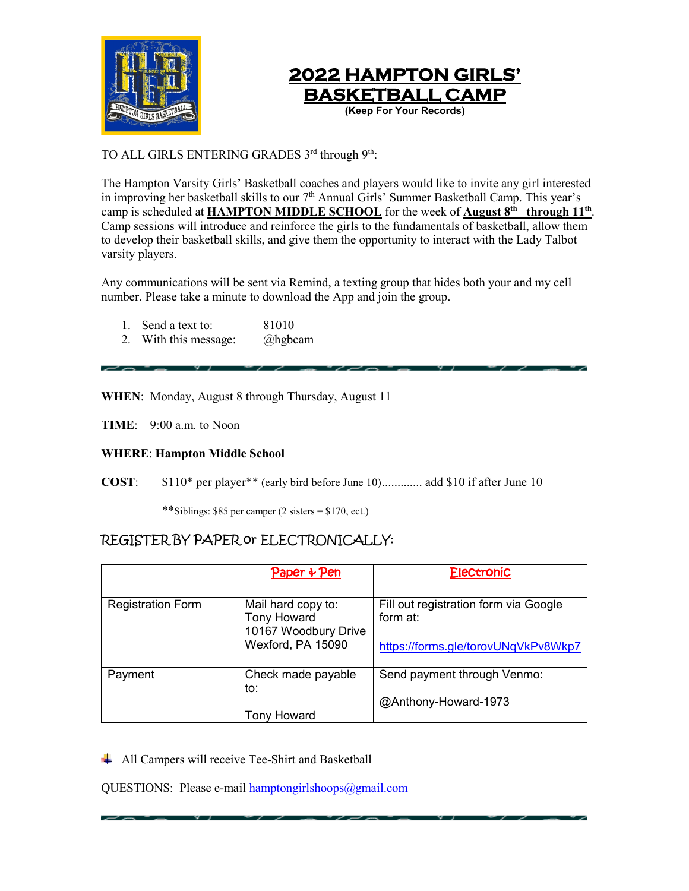



## TO ALL GIRLS ENTERING GRADES 3rd through 9<sup>th</sup>:

The Hampton Varsity Girls' Basketball coaches and players would like to invite any girl interested in improving her basketball skills to our 7<sup>th</sup> Annual Girls' Summer Basketball Camp. This year's camp is scheduled at **HAMPTON MIDDLE SCHOOL** for the week of **August 8th through 11th**. Camp sessions will introduce and reinforce the girls to the fundamentals of basketball, allow them to develop their basketball skills, and give them the opportunity to interact with the Lady Talbot varsity players.

Any communications will be sent via Remind, a texting group that hides both your and my cell number. Please take a minute to download the App and join the group.

- 1. Send a text to: 81010
- 2. With this message: @hgbcam

**WHEN**: Monday, August 8 through Thursday, August 11

**TIME**: 9:00 a.m. to Noon

#### **WHERE**: **Hampton Middle School**

**COST**: \$110\* per player\*\* (early bird before June 10)............. add \$10 if after June 10

\*\*Siblings: \$85 per camper (2 sisters = \$170, ect.)

# REGISTER BY PAPER or ELECTRONICALLY:

|                          | Paper + Pen                                | <b>Electronic</b>                     |
|--------------------------|--------------------------------------------|---------------------------------------|
|                          |                                            |                                       |
| <b>Registration Form</b> | Mail hard copy to:                         | Fill out registration form via Google |
|                          | <b>Tony Howard</b><br>10167 Woodbury Drive | form at:                              |
|                          | Wexford, PA 15090                          | https://forms.gle/torovUNqVkPv8Wkp7   |
|                          |                                            |                                       |
| Payment                  | Check made payable                         | Send payment through Venmo:           |
|                          | to:                                        |                                       |
|                          |                                            | @Anthony-Howard-1973                  |
|                          | <b>Tony Howard</b>                         |                                       |

All Campers will receive Tee-Shirt and Basketball

QUESTIONS: Please e-mail [hamptongirlshoops@gmail.com](mailto:hamptongirlshoops@gmail.com)